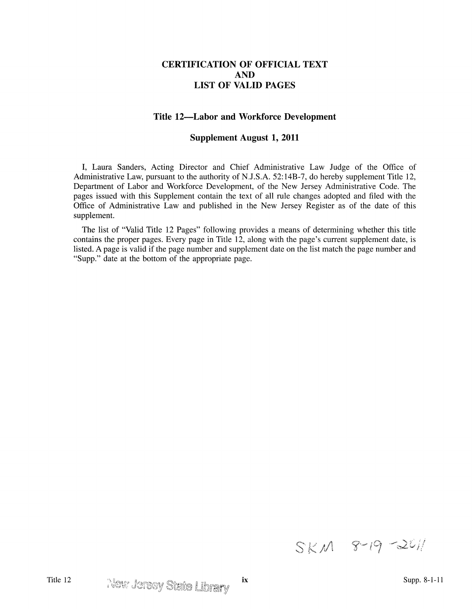## **CERTIFICATION OF OFFICIAL TEXT AND LIST OF VALID PAGES**

## **Title 12-Labor and Workforce Development**

## **Supplement August 1, 2011**

I, Laura Sanders, Acting Director and Chief Administrative Law Judge of the Office of Administrative Law, pursuant to the authority of N.J.S.A. 52: 14B-7, do hereby supplement Title 12, Department of Labor and Workforce Development, of the New Jersey Administrative Code. The pages issued with this Supplement contain the text of all rule changes adopted and filed with the Office of Administrative Law and published in the New Jersey Register as of the date of this supplement.

The list of "Valid Title 12 Pages" following provides a means of determining whether this title contains the proper pages. Every page in Title 12, along with the page's current supplement date, is listed. A page is valid if the page number and supplement date on the list match the page number and "Supp." date at the bottom of the appropriate page.

 $SKM$  8-19-2011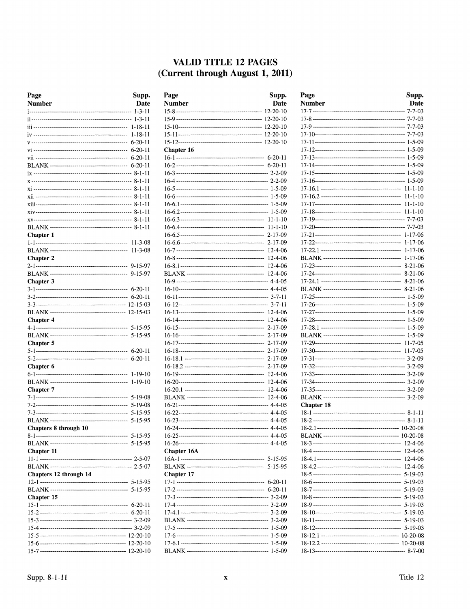## VALID TITLE 12 PAGES (Current through August 1, 2011)

| Page                   | Supp.                   |
|------------------------|-------------------------|
| Number                 | Date                    |
|                        | $1 - 3 - 11$            |
|                        | $1 - 3 - 11$<br>1-18-11 |
|                        | 1-18-11                 |
|                        | $6 - 20 - 11$           |
|                        | 6-20-11                 |
|                        | 6-20-11                 |
|                        | 6-20-11                 |
|                        |                         |
|                        |                         |
|                        |                         |
|                        | 8-1-11                  |
|                        |                         |
|                        | 8-1-11                  |
|                        | 8-1-11                  |
|                        |                         |
| Chapter 1              |                         |
|                        | 11-3-08                 |
|                        | $11 - 3 - 08$           |
| <b>Chapter 2</b>       |                         |
|                        | 9-15-97                 |
|                        | 9-15-97                 |
| Chapter 3              |                         |
|                        | 6-20-11                 |
|                        | 6-20-11                 |
|                        |                         |
|                        | 12-15-03                |
| Chapter 4              |                         |
|                        | 5-15-95<br>5-15-95      |
| <b>Chapter 5</b>       |                         |
|                        | $6 - 20 - 11$           |
|                        | $6 - 20 - 11$           |
| Chapter 6              |                         |
|                        | 1-19-10                 |
|                        | 1-19-10                 |
| <b>Chapter</b> 7       |                         |
|                        | 5-19-08                 |
|                        | 5-19-08                 |
|                        | 5-15-95                 |
|                        | 5-15-95                 |
| Chapters 8 through 10  |                         |
|                        |                         |
|                        |                         |
| <b>Chapter 11</b>      |                         |
|                        |                         |
|                        |                         |
| Chapters 12 through 14 |                         |
|                        |                         |
| Chapter 15             |                         |
|                        |                         |
|                        |                         |
|                        |                         |
|                        |                         |
|                        |                         |
|                        |                         |
|                        |                         |

| Page              | Supp.              |
|-------------------|--------------------|
| <b>Number</b>     | Date               |
|                   | 12-20-10           |
|                   |                    |
|                   |                    |
|                   |                    |
|                   |                    |
| <b>Chapter 16</b> |                    |
|                   |                    |
|                   |                    |
|                   |                    |
|                   |                    |
|                   |                    |
|                   |                    |
|                   |                    |
|                   |                    |
|                   |                    |
|                   | $11 - 1 - 10$      |
|                   | $2 - 17 - 09$      |
|                   | 2-17-09<br>12-4-06 |
|                   | $12 - 4 - 06$      |
|                   | $12 - 4 - 06$      |
|                   | 12-4-06            |
|                   |                    |
|                   |                    |
|                   |                    |
|                   |                    |
|                   | $12 - 4 - 06$      |
|                   | 12-4-06            |
|                   | $2 - 17 - 09$      |
|                   | 2-17-09            |
|                   | 2-17-09            |
|                   | $2 - 17 - 09$      |
|                   | $2 - 17 - 09$      |
|                   | $2 - 17 - 09$      |
|                   | $12 - 4 - 06$      |
|                   | 12-4-06            |
|                   | 12-4-06            |
|                   | $12 - 4 - 06$      |
|                   |                    |
|                   |                    |
|                   |                    |
|                   |                    |
|                   |                    |
|                   |                    |
| Chapter 16A       |                    |
|                   |                    |
| <b>Chapter 17</b> |                    |
|                   |                    |
|                   |                    |
|                   |                    |
|                   |                    |
|                   |                    |
|                   |                    |
|                   |                    |
|                   |                    |
|                   |                    |
|                   |                    |

| Page       | Supp.         |
|------------|---------------|
| Number     | <b>Date</b>   |
|            |               |
|            |               |
|            |               |
|            |               |
|            |               |
|            |               |
|            |               |
|            |               |
|            |               |
|            |               |
|            |               |
|            |               |
|            | $11 - 1 - 10$ |
|            |               |
|            |               |
|            |               |
|            |               |
|            |               |
|            | $1 - 17 - 06$ |
|            |               |
|            | $8 - 21 - 06$ |
|            | $8 - 21 - 06$ |
|            |               |
|            |               |
|            |               |
|            |               |
|            |               |
|            |               |
|            |               |
|            |               |
|            |               |
|            |               |
|            |               |
|            |               |
|            |               |
|            |               |
|            |               |
|            |               |
| Chapter 18 |               |
|            |               |
|            |               |
|            | 10-20-08      |
|            | 12-4-06       |
|            | 12-4-06       |
|            | 12-4-06       |
|            | 12-4-06       |
|            | 5-19-03       |
|            | $5 - 19 - 03$ |
|            | $5 - 19 - 03$ |
|            | 5-19-03       |
|            | $5 - 19 - 03$ |
|            | $5 - 19 - 03$ |
|            | $5 - 19 - 03$ |
|            |               |
|            |               |
|            |               |
|            |               |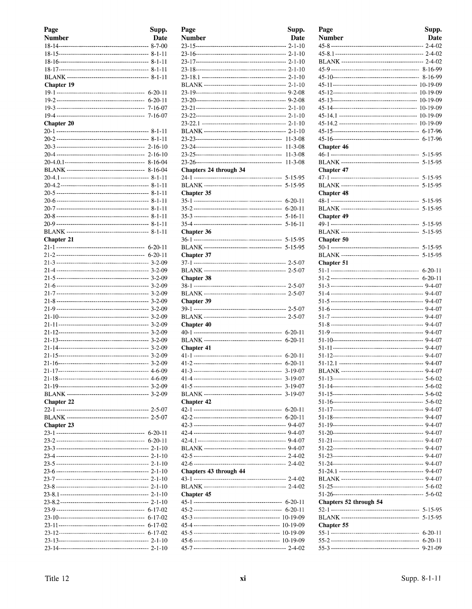| Page              | Supp.         |
|-------------------|---------------|
| <b>Number</b>     | Date          |
|                   |               |
|                   |               |
|                   |               |
|                   |               |
|                   |               |
| <b>Chapter 19</b> |               |
|                   |               |
|                   |               |
|                   |               |
|                   |               |
| <b>Chapter 20</b> |               |
|                   |               |
|                   |               |
|                   |               |
|                   |               |
|                   |               |
|                   |               |
|                   |               |
|                   |               |
|                   |               |
|                   |               |
|                   |               |
|                   |               |
|                   |               |
|                   |               |
| Chapter 21        |               |
|                   |               |
|                   |               |
|                   |               |
|                   |               |
|                   |               |
|                   |               |
|                   |               |
|                   |               |
|                   |               |
|                   |               |
|                   |               |
|                   |               |
|                   |               |
|                   |               |
|                   |               |
|                   |               |
|                   |               |
|                   |               |
|                   |               |
| <b>Chapter 22</b> |               |
|                   |               |
|                   |               |
| <b>Chapter 23</b> |               |
|                   |               |
|                   |               |
|                   |               |
|                   |               |
|                   |               |
|                   |               |
|                   |               |
|                   |               |
|                   |               |
|                   |               |
|                   |               |
|                   |               |
|                   | $6 - 17 - 02$ |
|                   |               |
|                   |               |
|                   |               |

| Page                   | Supp.         |
|------------------------|---------------|
| Number                 | Date          |
|                        |               |
|                        |               |
|                        |               |
|                        |               |
|                        |               |
|                        |               |
|                        |               |
|                        |               |
|                        |               |
|                        |               |
|                        |               |
|                        |               |
|                        |               |
|                        |               |
|                        | $11 - 3 - 08$ |
|                        | $11 - 3 - 08$ |
|                        | $11 - 3 - 08$ |
| Chapters 24 through 34 |               |
|                        |               |
|                        | 5-15-95       |
| Chapter 35             |               |
|                        | $6-20-11$     |
|                        | $6-20-11$     |
|                        | $5 - 16 - 11$ |
|                        | $5 - 16 - 11$ |
| Chapter 36             |               |
|                        |               |
|                        |               |
| Chapter 37             |               |
|                        |               |
|                        |               |
| <b>Chapter 38</b>      |               |
|                        |               |
|                        |               |
| Chapter 39             |               |
|                        |               |
|                        |               |
| Chapter 40             |               |
|                        |               |
|                        | $6 - 20 - 11$ |
|                        |               |
| <b>Chapter 41</b>      |               |
|                        | $6-20-11$     |
|                        | $6-20-11$     |
|                        | $3 - 19 - 07$ |
|                        |               |
|                        | $3 - 19 - 07$ |
|                        | $3 - 19 - 07$ |
| <b>Chapter 42</b>      |               |
|                        | $6 - 20 - 11$ |
|                        |               |
|                        |               |
|                        |               |
|                        |               |
|                        |               |
|                        |               |
|                        |               |
| Chapters 43 through 44 |               |
|                        |               |
|                        |               |
| <b>Chapter 45</b>      |               |
|                        |               |
|                        |               |
|                        |               |
|                        |               |
|                        |               |
|                        |               |
|                        |               |
|                        |               |

| Page                   | Supp.         |
|------------------------|---------------|
| <b>Number</b>          | Date          |
|                        |               |
|                        |               |
|                        |               |
|                        |               |
|                        |               |
|                        |               |
|                        |               |
|                        |               |
|                        |               |
|                        |               |
|                        |               |
| Chapter 46             |               |
|                        | 5-15-95       |
| Chapter 47             | $5 - 15 - 95$ |
|                        |               |
|                        | 5-15-95       |
| <b>Chapter 48</b>      |               |
|                        | 5-15-95       |
|                        | 5-15-95       |
| <b>Chapter 49</b>      |               |
|                        | $5 - 15 - 95$ |
| Chapter 50             |               |
|                        | 5-15-95       |
|                        | 5-15-95       |
| <b>Chapter 51</b>      |               |
|                        |               |
|                        |               |
|                        |               |
|                        |               |
|                        |               |
|                        |               |
|                        |               |
|                        |               |
|                        |               |
|                        |               |
|                        |               |
|                        |               |
|                        |               |
|                        |               |
|                        |               |
|                        |               |
|                        |               |
|                        |               |
|                        |               |
|                        |               |
|                        |               |
|                        |               |
|                        |               |
|                        |               |
|                        |               |
|                        |               |
| Chapters 52 through 54 |               |
|                        |               |
|                        |               |
| Chapter 55             | $6 - 20 - 11$ |
|                        |               |
|                        | 9-21-09       |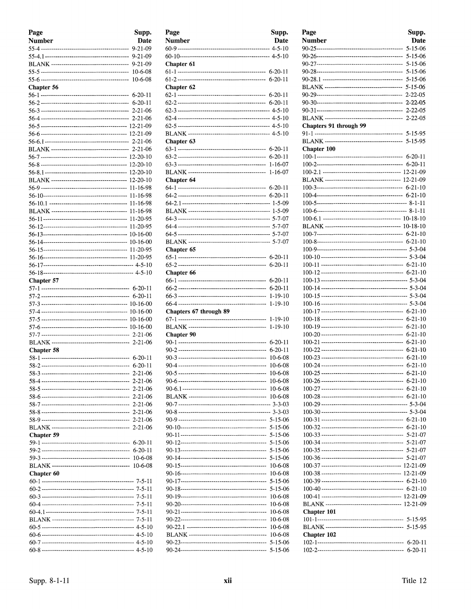| Page              | Supp.                    |
|-------------------|--------------------------|
| <b>Number</b>     | Date                     |
|                   | $9 - 21 - 09$            |
|                   | $9 - 21 - 09$            |
|                   | $9 - 21 - 09$            |
|                   | $10-6-08$                |
|                   | 10-6-08                  |
| <b>Chapter 56</b> |                          |
|                   | $6 - 20 - 11$            |
|                   |                          |
|                   | $2 - 21 - 06$            |
|                   |                          |
|                   |                          |
|                   |                          |
|                   |                          |
|                   |                          |
|                   | 12-20-10                 |
|                   | 12-20-10                 |
|                   | 12-20-10                 |
|                   | 11-16-98                 |
|                   | 11-16-98                 |
|                   | 11-16-98                 |
|                   | 11-16-98<br>11-20-95     |
|                   | 11-20-95                 |
|                   | 10-16-00                 |
|                   | 10-16-00                 |
|                   | 11-20-95                 |
|                   |                          |
|                   |                          |
|                   |                          |
| Chapter 57        |                          |
|                   |                          |
|                   | $6 - 20 - 11$            |
|                   |                          |
|                   |                          |
|                   |                          |
|                   |                          |
|                   |                          |
| Chapter 58        |                          |
|                   | $6 - 20 - 11$            |
|                   | $6 - 20 - 11$            |
| $58 - 3 - -$      | 2-21-06                  |
|                   | $2 - 21 - 06$            |
|                   | $2 - 21 - 06$            |
|                   | $2 - 21 - 06$            |
|                   | $2 - 21 - 06$            |
|                   | $2 - 21 - 06$            |
|                   | $2 - 21 - 06$<br>2-21-06 |
| <b>Chapter 59</b> |                          |
|                   | 6-20-11                  |
|                   | 6-20-11                  |
|                   | 10-6-08                  |
|                   | $10 - 6 - 08$            |
| Chapter 60        |                          |
|                   |                          |
|                   |                          |
|                   |                          |
|                   |                          |
|                   |                          |
|                   |                          |
|                   |                          |
|                   |                          |
|                   |                          |

| Page                   | Supp.              |
|------------------------|--------------------|
| Number                 | Date               |
|                        |                    |
|                        |                    |
| Chapter 61             |                    |
|                        |                    |
|                        |                    |
| Chapter 62             |                    |
|                        |                    |
|                        |                    |
|                        |                    |
|                        |                    |
|                        |                    |
|                        |                    |
| Chapter 63             |                    |
|                        |                    |
|                        | $6 - 20 - 11$      |
|                        | $1 - 16 - 07$      |
|                        | 1-16-07            |
| <b>Chapter 64</b>      |                    |
|                        |                    |
|                        |                    |
|                        |                    |
|                        |                    |
|                        |                    |
|                        |                    |
|                        |                    |
|                        |                    |
| Chapter 65             |                    |
|                        |                    |
|                        | $6 - 20 - 11$      |
| Chapter 66             |                    |
|                        | 6-20-11            |
|                        | $6 - 20 - 11$      |
|                        | $1 - 19 - 10$      |
|                        | $1 - 19 - 10$      |
| Chapters 67 through 89 |                    |
|                        | 1-19-10            |
|                        | 1-19-10            |
| <b>Chapter 90</b>      |                    |
|                        | $6 - 20 - 11$      |
|                        | $6 - 20 - 11$      |
|                        | 10-6-08            |
|                        | 10-6-08            |
|                        |                    |
|                        | 10-6-08<br>10-6-08 |
|                        | 10-6-08            |
|                        | 10-6-08            |
|                        |                    |
|                        |                    |
|                        | 5-15-06            |
|                        | $5 - 15 - 06$      |
|                        | $5 - 15 - 06$      |
|                        | $5 - 15 - 06$      |
|                        | 5-15-06            |
|                        | 5-15-06            |
|                        | 10-6-08            |
|                        | 10-6-08            |
|                        | 5-15-06            |
|                        | 5-15-06            |
|                        | 10-6-08            |
|                        | 10-6-08            |
|                        | 10-6-08            |
|                        | 10-6-08            |
|                        | 10-6-08            |
|                        | 10-6-08            |
|                        | 5-15-06            |
|                        | 5-15-06            |
|                        |                    |

| Page                   | Supp.         |
|------------------------|---------------|
| <b>Number</b>          | Date          |
|                        | $5 - 15 - 06$ |
|                        | $5 - 15 - 06$ |
|                        | $5 - 15 - 06$ |
|                        | 5-15-06       |
|                        | 5-15-06       |
|                        | $5 - 15 - 06$ |
|                        | $2 - 22 - 05$ |
|                        | $2 - 22 - 05$ |
|                        | $2 - 22 - 05$ |
| Chapters 91 through 99 |               |
|                        |               |
|                        | $5 - 15 - 95$ |
| Chapter 100            |               |
|                        |               |
|                        | $6 - 20 - 11$ |
|                        |               |
|                        |               |
|                        |               |
|                        |               |
|                        |               |
|                        |               |
|                        |               |
|                        |               |
|                        |               |
|                        |               |
|                        |               |
|                        |               |
|                        |               |
|                        |               |
|                        |               |
|                        |               |
|                        |               |
|                        |               |
|                        | $6 - 21 - 10$ |
|                        | 6-21-10       |
|                        | $6 - 21 - 10$ |
|                        | $6 - 21 - 10$ |
|                        | $6 - 21 - 10$ |
|                        | $6 - 21 - 10$ |
|                        |               |
|                        |               |
|                        |               |
|                        |               |
|                        |               |
|                        |               |
|                        |               |
|                        |               |
|                        |               |
|                        | $5 - 21 - 07$ |
|                        |               |
|                        |               |
|                        |               |
|                        |               |
|                        |               |
|                        |               |
|                        |               |
| Chapter 101            |               |
|                        |               |
|                        |               |
| Chapter 102            |               |
|                        | $6 - 20 - 11$ |
|                        | 6-20-11       |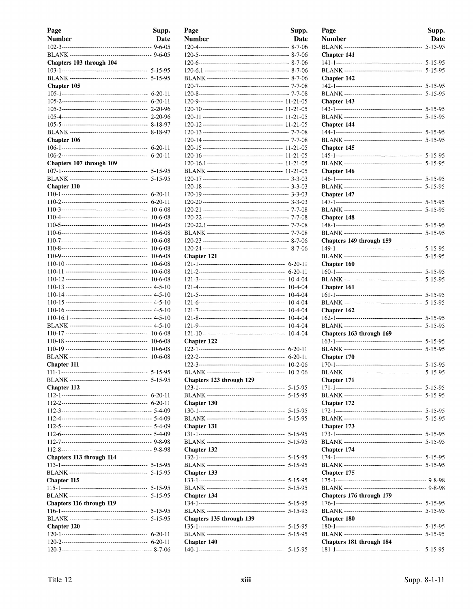| Page<br>Number           | Supp.<br>Date                  |
|--------------------------|--------------------------------|
|                          |                                |
|                          |                                |
| Chapters 103 through 104 |                                |
|                          | 5-15-95                        |
| Chapter 105              |                                |
|                          | $6 - 20 - 11$                  |
|                          | $6-20-11$                      |
|                          | 2-20-96                        |
|                          | $2 - 20 - 96$                  |
|                          | 8-18-97                        |
|                          | 8-18-97                        |
| Chapter 106              |                                |
|                          | $6 - 20 - 11$<br>$6 - 20 - 11$ |
| Chapters 107 through 109 |                                |
|                          | 5-15-95                        |
|                          | 5-15-95                        |
| Chapter 110              |                                |
|                          | $6-20-11$                      |
|                          | $6 - 20 - 11$                  |
|                          | $10-6-08$                      |
|                          | $10 - 6 - 08$                  |
|                          | $10 - 6 - 08$                  |
|                          | $10 - 6 - 08$                  |
|                          | $10-6-08$<br>10-6-08           |
|                          | $10 - 6 - 08$                  |
|                          | $10-6-08$                      |
|                          | $10 - 6 - 08$                  |
|                          | $10 - 6 - 08$                  |
|                          |                                |
|                          |                                |
|                          |                                |
|                          |                                |
|                          |                                |
|                          | $10 - 6 - 08$                  |
|                          | 10-6-08                        |
|                          | $10-6-08$                      |
|                          | 10-6-08                        |
| Chapter 111              |                                |
|                          |                                |
|                          |                                |
| Chapter 112              |                                |
|                          |                                |
|                          |                                |
|                          |                                |
|                          |                                |
|                          |                                |
|                          |                                |
|                          |                                |
| Chapters 113 through 114 |                                |
|                          |                                |
|                          | $5 - 15 - 95$                  |
| Chapter 115              | $5 - 15 - 95$                  |
|                          | $5 - 15 - 95$                  |
| Chapters 116 through 119 |                                |
|                          |                                |
|                          | 5-15-95                        |
| Chapter 120              |                                |
|                          |                                |
|                          |                                |
|                          |                                |

| Page                     | Supp.         |
|--------------------------|---------------|
| <b>Number</b>            | Date          |
|                          |               |
|                          |               |
|                          |               |
|                          |               |
|                          |               |
|                          |               |
|                          |               |
|                          |               |
|                          |               |
|                          |               |
|                          |               |
|                          |               |
|                          |               |
|                          |               |
|                          |               |
|                          |               |
|                          |               |
|                          |               |
|                          |               |
|                          |               |
|                          |               |
|                          |               |
|                          |               |
|                          |               |
|                          |               |
|                          |               |
|                          |               |
| Chapter 121              |               |
|                          | $6 - 20 - 11$ |
|                          | $6 - 20 - 11$ |
|                          | $10-4-04$     |
|                          | $10 - 4 - 04$ |
|                          | $10 - 4 - 04$ |
|                          | 10-4-04       |
|                          | $10 - 4 - 04$ |
|                          | $10 - 4 - 04$ |
|                          | $10 - 4 - 04$ |
|                          | $10 - 4 - 04$ |
| Chapter 122              |               |
|                          | $6 - 20 - 11$ |
|                          | $6 - 20 - 11$ |
|                          | $10-2-06$     |
|                          | $10 - 2 - 06$ |
| Chapters 123 through 129 |               |
|                          |               |
|                          | 5-15-95       |
| Chapter 130              |               |
|                          |               |
|                          | $5 - 15 - 95$ |
| Chapter 131              |               |
|                          |               |
|                          | 5-15-95       |
| Chapter 132              |               |
|                          |               |
|                          | 5-15-95       |
| Chapter 133              |               |
|                          |               |
|                          | $5 - 15 - 95$ |
| Chapter 134              |               |
|                          |               |
| Chapters 135 through 139 |               |
|                          |               |
|                          |               |
| Chapter 140              |               |
|                          |               |

| Page<br><b>Number</b>    | Supp.<br>Date |
|--------------------------|---------------|
| Chapter 141              | $5 - 15 - 95$ |
|                          |               |
|                          |               |
| Chapter 142              |               |
|                          |               |
| Chapter 143              |               |
|                          |               |
| Chapter 144              |               |
|                          |               |
| Chapter 145              |               |
|                          |               |
| Chapter 146              |               |
|                          |               |
|                          |               |
| Chapter 147              |               |
|                          |               |
| Chapter 148              |               |
|                          |               |
|                          |               |
| Chapters 149 through 159 |               |
|                          |               |
| <b>Chapter 160</b>       |               |
|                          |               |
| Chapter 161              |               |
|                          |               |
|                          |               |
| Chapter 162              |               |
|                          |               |
| Chapters 163 through 169 |               |
|                          |               |
| Chapter 170              |               |
|                          |               |
|                          |               |
| <b>Chapter 171</b>       |               |
|                          |               |
| Chapter 172              |               |
|                          |               |
|                          |               |
| Chapter 173              |               |
|                          |               |
| Chapter 174              |               |
|                          |               |
|                          |               |
| Chapter 175              |               |
|                          |               |
| Chapters 176 through 179 |               |
|                          |               |
| Chapter 180              |               |
|                          |               |
|                          |               |
| Chapters 181 through 184 |               |
|                          |               |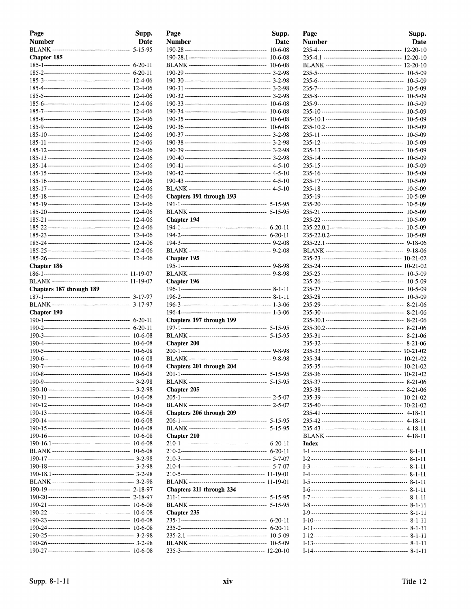| Page                     | Supp.              |
|--------------------------|--------------------|
| <b>Number</b>            | Date               |
|                          | $5 - 15 - 95$      |
| Chapter 185              |                    |
|                          | $6 - 20 - 11$      |
|                          | $6-20-11$          |
|                          | 12-4-06            |
|                          | 12-4-06            |
|                          | 12-4-06            |
|                          | 12-4-06            |
|                          | 12-4-06            |
|                          | 12-4-06            |
|                          | 12-4-06            |
|                          | 12-4-06            |
|                          |                    |
|                          | 12-4-06<br>12-4-06 |
|                          |                    |
|                          | 12-4-06<br>12-4-06 |
|                          |                    |
|                          | 12-4-06<br>12-4-06 |
|                          | 12-4-06            |
|                          | 12-4-06            |
|                          |                    |
|                          | 12-4-06            |
|                          | 12-4-06            |
|                          | 12-4-06            |
|                          | 12-4-06            |
|                          | 12-4-06            |
|                          | 12-4-06            |
|                          | 12-4-06            |
|                          | 12-4-06            |
| Chapter 186              |                    |
|                          |                    |
|                          | 11-19-07           |
| Chapters 187 through 189 |                    |
|                          | 3-17-97            |
|                          | 3-17-97            |
| Chapter 190              |                    |
|                          | 6-20-11            |
|                          | $6 - 20 - 11$      |
|                          | 10-6-08            |
|                          | 10-6-08            |
|                          | 10-6-08            |
|                          | 10-6-08            |
|                          | 10-6-08            |
|                          | 10-6-08            |
|                          |                    |
|                          |                    |
|                          | 10-6-08            |
|                          | 10-6-08            |
|                          | 10-6-08            |
|                          | $10-6-08$          |
|                          | 10-6-08            |
|                          | $10-6-08$          |
|                          | 10-6-08            |
|                          | 10-6-08            |
|                          |                    |
|                          |                    |
|                          |                    |
|                          |                    |
|                          | 2-18-97            |
|                          | $2 - 18 - 97$      |
|                          | $10-6-08$          |
|                          | $10-6-08$          |
|                          | $10-6-08$          |
|                          | $10-6-08$          |
|                          |                    |
|                          |                    |
|                          |                    |

| Page                     | Supp.         |
|--------------------------|---------------|
| <b>Number</b>            | Date          |
|                          | $10-6-08$     |
|                          | $10 - 6 - 08$ |
|                          | $10-6-08$     |
|                          |               |
|                          |               |
|                          |               |
|                          |               |
|                          | $10 - 6 - 08$ |
|                          | $10-6-08$     |
|                          |               |
|                          |               |
|                          |               |
|                          |               |
|                          |               |
|                          |               |
|                          |               |
|                          |               |
|                          |               |
|                          |               |
| Chapters 191 through 193 |               |
|                          |               |
|                          |               |
| Chapter 194              |               |
|                          |               |
|                          |               |
|                          |               |
|                          |               |
| Chapter 195              |               |
|                          |               |
|                          |               |
| Chapter 196              |               |
|                          |               |
|                          |               |
|                          |               |
| Chapters 197 through 199 |               |
|                          |               |
|                          |               |
| <b>Chapter 200</b>       |               |
|                          |               |
|                          |               |
| Chapters 201 through 204 |               |
| 201-1------------------  | 5-15-95       |
|                          |               |
| Chapter 205              |               |
|                          |               |
|                          |               |
| Chapters 206 through 209 |               |
|                          |               |
|                          |               |
| <b>Chapter 210</b>       |               |
|                          |               |
|                          |               |
|                          |               |
|                          |               |
|                          |               |
|                          |               |
| Chapters 211 through 234 |               |
|                          |               |
|                          | $5 - 15 - 95$ |
| Chapter 235              |               |
|                          | 6-20-11       |
|                          | 6-20-11       |
|                          | $10-5-09$     |
|                          | $10-5-09$     |
|                          |               |

| Page   | Supp.                        |
|--------|------------------------------|
| Number | <b>Date</b>                  |
|        | 12-20-10                     |
|        |                              |
|        | 12-20-10                     |
|        | 10-5-09                      |
|        | 10-5-09                      |
|        | $10 - 5 - 09$                |
|        | 10-5-09                      |
|        | $10 - 5 - 09$                |
|        | 10-5-09                      |
|        | $10 - 5 - 09$                |
|        | 10-5-09<br>10-5-09           |
|        | $10-5-09$                    |
|        | 10-5-09                      |
|        | 10-5-09                      |
|        | $10-5-09$                    |
|        | 10-5-09                      |
|        | $10 - 5 - 09$                |
|        | 10-5-09                      |
|        | 10-5-09                      |
|        | 10-5-09                      |
|        | 10-5-09                      |
|        | 10-5-09                      |
|        | 10-5-09                      |
|        | $10 - 5 - 09$                |
|        | $9 - 18 - 06$                |
|        | $9 - 18 - 06$<br>10-21-02    |
|        | 10-21-02                     |
|        | 10-5-09                      |
|        | $10 - 5 - 09$                |
|        | $10 - 5 - 09$                |
|        | 10-5-09                      |
|        | $8-21-06$                    |
|        | $8 - 21 - 06$                |
|        | $8 - 21 - 06$                |
|        | 8-21-06                      |
|        | $8 - 21 - 06$                |
|        | $8 - 21 - 06$                |
|        | $10-21-02$                   |
|        | 10-21-02                     |
|        | $10 - 21 - 02$<br>$10-21-02$ |
|        |                              |
|        |                              |
|        |                              |
|        |                              |
|        |                              |
|        |                              |
|        |                              |
|        |                              |
| Index  |                              |
|        |                              |
|        |                              |
|        |                              |
|        |                              |
|        |                              |
|        |                              |
|        |                              |
|        |                              |
|        |                              |
|        |                              |
|        |                              |
|        |                              |
|        |                              |